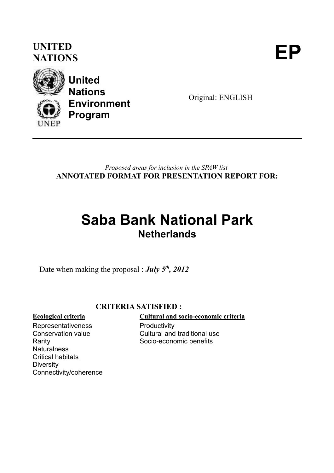### **UNITED** UNITED<br>NATIONS





**United Nations Environment Program**

Original: ENGLISH

*Proposed areas for inclusion in the SPAW list* **ANNOTATED FORMAT FOR PRESENTATION REPORT FOR:**

## **Saba Bank National Park Netherlands**

Date when making the proposal : *July 5th, 2012*

### **CRITERIA SATISFIED :**

Representativeness Conservation value Rarity **Naturalness** Critical habitats **Diversity** Connectivity/coherence

**Ecological criteria Cultural and socio-economic criteria**

**Productivity** Cultural and traditional use Socio-economic benefits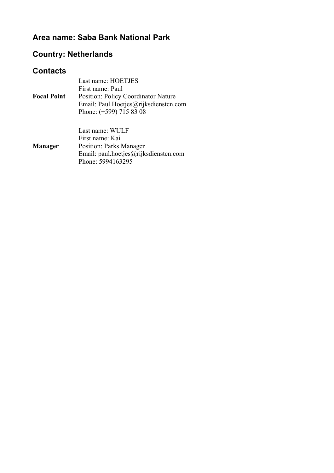### **Area name: Saba Bank National Park**

### **Country: Netherlands**

### **Contacts**

| <b>Focal Point</b> | Last name: HOETJES<br>First name: Paul<br><b>Position: Policy Coordinator Nature</b><br>Email: Paul.Hoetjes@rijksdiensten.com<br>Phone: (+599) 715 83 08 |
|--------------------|----------------------------------------------------------------------------------------------------------------------------------------------------------|
| <b>Manager</b>     | Last name: WULF<br>First name: Kai<br><b>Position: Parks Manager</b><br>Email: paul.hoetjes@rijksdienstcn.com<br>Phone: 5994163295                       |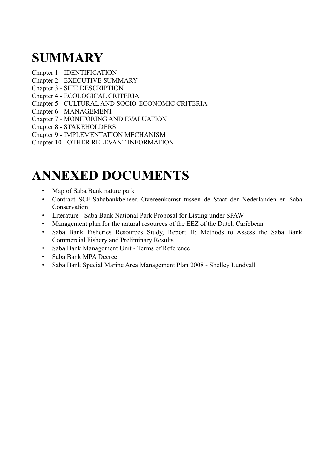## **SUMMARY**

Chapter 1 - IDENTIFICATION

- Chapter 2 EXECUTIVE SUMMARY
- Chapter 3 SITE DESCRIPTION
- Chapter 4 ECOLOGICAL CRITERIA
- Chapter 5 CULTURAL AND SOCIO-ECONOMIC CRITERIA
- Chapter 6 MANAGEMENT
- Chapter 7 MONITORING AND EVALUATION
- Chapter 8 STAKEHOLDERS
- Chapter 9 IMPLEMENTATION MECHANISM
- Chapter 10 OTHER RELEVANT INFORMATION

## **ANNEXED DOCUMENTS**

- Map of Saba Bank nature park
- Contract SCF-Sababankbeheer. Overeenkomst tussen de Staat der Nederlanden en Saba **Conservation**
- Literature Saba Bank National Park Proposal for Listing under SPAW
- Management plan for the natural resources of the EEZ of the Dutch Caribbean
- Saba Bank Fisheries Resources Study, Report II: Methods to Assess the Saba Bank Commercial Fishery and Preliminary Results
- Saba Bank Management Unit Terms of Reference
- Saba Bank MPA Decree
- Saba Bank Special Marine Area Management Plan 2008 Shelley Lundvall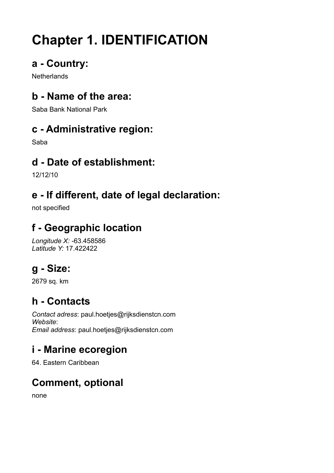# **Chapter 1. IDENTIFICATION**

### **a - Country:**

**Netherlands** 

### **b - Name of the area:**

Saba Bank National Park

### **c - Administrative region:**

Saba

### **d - Date of establishment:**

12/12/10

### **e - If different, date of legal declaration:**

not specified

### **f - Geographic location**

*Longitude X:* -63.458586 *Latitude Y:* 17.422422

## **g - Size:**

2679 sq. km

### **h - Contacts**

*Contact adress*: paul.hoetjes@rijksdienstcn.com *Website*: *Email address*: paul.hoetjes@rijksdienstcn.com

### **i - Marine ecoregion**

64. Eastern Caribbean

## **Comment, optional**

none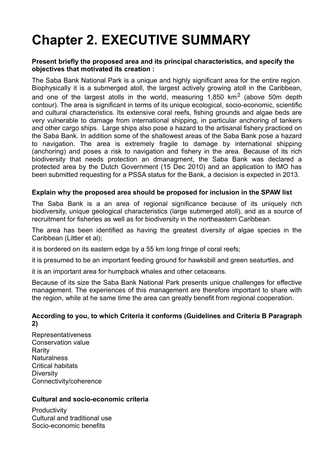## **Chapter 2. EXECUTIVE SUMMARY**

#### **Present briefly the proposed area and its principal characteristics, and specify the objectives that motivated its creation :**

The Saba Bank National Park is a unique and highly significant area for the entire region. Biophysically it is a submerged atoll, the largest actively growing atoll in the Caribbean, and one of the largest atolls in the world, measuring 1,850  $km^2$  (above 50m depth contour). The area is significant in terms of its unique ecological, socio-economic, scientific and cultural characteristics. Its extensive coral reefs, fishing grounds and algae beds are very vulnerable to damage from international shipping, in particular anchoring of tankers and other cargo ships. Large ships also pose a hazard to the artisanal fishery practiced on the Saba Bank. In addition some of the shallowest areas of the Saba Bank pose a hazard to navigation. The area is extremely fragile to damage by international shipping (anchoring) and poses a risk to navigation and fishery in the area. Because of its rich biodiversity that needs protection an dmanagment, the Saba Bank was declared a protected area by the Dutch Government (15 Dec 2010) and an application to IMO has been submitted requesting for a PSSA status for the Bank, a decision is expected in 2013.

#### **Explain why the proposed area should be proposed for inclusion in the SPAW list**

The Saba Bank is a an area of regional significance because of its uniquely rich biodiversity, unique geological characteristics (large submerged atoll), and as a source of recruitment for fisheries as well as for biodiversity in the northeastern Caribbean.

The area has been identified as having the greatest diversity of algae species in the Caribbean (Littler et al);

it is bordered on its eastern edge by a 55 km long fringe of coral reefs;

it is presumed to be an important feeding ground for hawksbill and green seaturtles, and

it is an important area for humpback whales and other cetaceans.

Because of its size the Saba Bank National Park presents unique challenges for effective management. The experiences of this management are therefore important to share with the region, while at he same time the area can greatly benefit from regional cooperation.

#### **According to you, to which Criteria it conforms (Guidelines and Criteria B Paragraph 2)**

Representativeness Conservation value Rarity **Naturalness** Critical habitats **Diversity** Connectivity/coherence

#### **Cultural and socio-economic criteria**

**Productivity** Cultural and traditional use Socio-economic benefits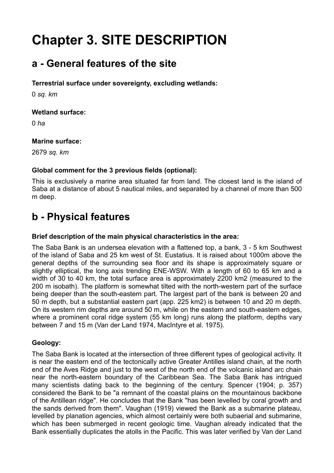## **Chapter 3. SITE DESCRIPTION**

### **a - General features of the site**

#### **Terrestrial surface under sovereignty, excluding wetlands:**

0 *sq. km*

#### **Wetland surface:**

0 *ha*

#### **Marine surface:**

2679 *sq. km*

#### **Global comment for the 3 previous fields (optional):**

This is exclusively a marine area situated far from land. The closest land is the island of Saba at a distance of about 5 nautical miles, and separated by a channel of more than 500 m deep.

### **b - Physical features**

#### **Brief description of the main physical characteristics in the area:**

The Saba Bank is an undersea elevation with a flattened top, a bank, 3 - 5 km Southwest of the island of Saba and 25 km west of St. Eustatius. It is raised about 1000m above the general depths of the surrounding sea floor and its shape is approximately square or slightly elliptical, the long axis trending ENE-WSW. With a length of 60 to 65 km and a width of 30 to 40 km, the total surface area is approximately 2200 km2 (measured to the 200 m isobath). The platform is somewhat tilted with the north-western part of the surface being deeper than the south-eastern part. The largest part of the bank is between 20 and 50 m depth, but a substantial eastern part (app. 225 km2) is between 10 and 20 m depth. On its western rim depths are around 50 m, while on the eastern and south-eastern edges, where a prominent coral ridge system (55 km long) runs along the platform, depths vary between 7 and 15 m (Van der Land 1974, MacIntyre et al. 1975).

#### **Geology:**

The Saba Bank is located at the intersection of three different types of geological activity. It is near the eastern end of the tectonically active Greater Antilles island chain, at the north end of the Aves Ridge and just to the west of the north end of the volcanic island arc chain near the north-eastern boundary of the Caribbean Sea. The Saba Bank has intrigued many scientists dating back to the beginning of the century. Spencer (1904; p. 357) considered the Bank to be "a remnant of the coastal plains on the mountainous backbone of the Antillean ridge". He concludes that the Bank "has been levelled by coral growth and the sands derived from them". Vaughan (1919) viewed the Bank as a submarine plateau, levelled by planation agencies, which almost certainly were both subaerial and submarine, which has been submerged in recent geologic time. Vaughan already indicated that the Bank essentially duplicates the atolls in the Pacific. This was later verified by Van der Land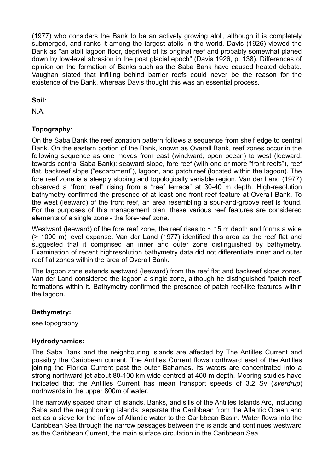(1977) who considers the Bank to be an actively growing atoll, although it is completely submerged, and ranks it among the largest atolls in the world. Davis (1926) viewed the Bank as "an atoll lagoon floor, deprived of its original reef and probably somewhat planed down by low-level abrasion in the post glacial epoch" (Davis 1926, p. 138). Differences of opinion on the formation of Banks such as the Saba Bank have caused heated debate. Vaughan stated that infilling behind barrier reefs could never be the reason for the existence of the Bank, whereas Davis thought this was an essential process.

**Soil:** 

N.A.

#### **Topography:**

On the Saba Bank the reef zonation pattern follows a sequence from shelf edge to central Bank. On the eastern portion of the Bank, known as Overall Bank, reef zones occur in the following sequence as one moves from east (windward, open ocean) to west (leeward, towards central Saba Bank): seaward slope, fore reef (with one or more "front reefs"), reef flat, backreef slope ("escarpment"), lagoon, and patch reef (located within the lagoon). The fore reef zone is a steeply sloping and topologically variable region. Van der Land (1977) observed a "front reef" rising from a "reef terrace" at 30-40 m depth. High-resolution bathymetry confirmed the presence of at least one front reef feature at Overall Bank. To the west (leeward) of the front reef, an area resembling a spur-and-groove reef is found. For the purposes of this management plan, these various reef features are considered elements of a single zone - the fore-reef zone.

Westward (leeward) of the fore reef zone, the reef rises to  $\sim$  15 m depth and forms a wide (> 1000 m) level expanse. Van der Land (1977) identified this area as the reef flat and suggested that it comprised an inner and outer zone distinguished by bathymetry. Examination of recent highresolution bathymetry data did not differentiate inner and outer reef flat zones within the area of Overall Bank.

The lagoon zone extends eastward (leeward) from the reef flat and backreef slope zones. Van der Land considered the lagoon a single zone, although he distinguished "patch reef' formations within it. Bathymetry confirmed the presence of patch reef-like features within the lagoon.

#### **Bathymetry:**

see topography

#### **Hydrodynamics:**

The Saba Bank and the neighbouring islands are affected by The Antilles Current and possibly the Caribbean current. The Antilles Current flows northward east of the Antilles joining the Florida Current past the outer Bahamas. Its waters are concentrated into a strong northward jet about 80-100 km wide centred at 400 m depth. Mooring studies have indicated that the Antilles Current has mean transport speeds of 3.2 Sv (*sverdrup*) northwards in the upper 800m of water.

The narrowly spaced chain of islands, Banks, and sills of the Antilles Islands Arc, including Saba and the neighbouring islands, separate the Caribbean from the Atlantic Ocean and act as a sieve for the inflow of Atlantic water to the Caribbean Basin. Water flows into the Caribbean Sea through the narrow passages between the islands and continues westward as the Caribbean Current, the main surface circulation in the Caribbean Sea.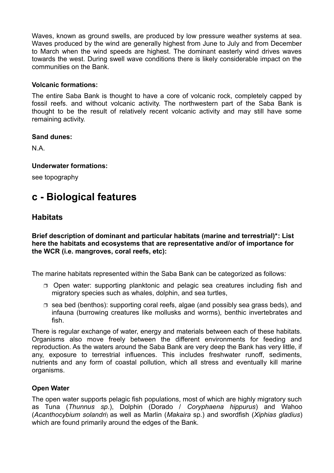Waves, known as ground swells, are produced by low pressure weather systems at sea. Waves produced by the wind are generally highest from June to July and from December to March when the wind speeds are highest. The dominant easterly wind drives waves towards the west. During swell wave conditions there is likely considerable impact on the communities on the Bank.

#### **Volcanic formations:**

The entire Saba Bank is thought to have a core of volcanic rock, completely capped by fossil reefs. and without volcanic activity. The northwestern part of the Saba Bank is thought to be the result of relatively recent volcanic activity and may still have some remaining activity.

#### **Sand dunes:**

N.A.

#### **Underwater formations:**

see topography

### **c - Biological features**

#### **Habitats**

**Brief description of dominant and particular habitats (marine and terrestrial)\*: List here the habitats and ecosystems that are representative and/or of importance for the WCR (i.e. mangroves, coral reefs, etc):** 

The marine habitats represented within the Saba Bank can be categorized as follows:

- □ Open water: supporting planktonic and pelagic sea creatures including fish and migratory species such as whales, dolphin, and sea turtles,
- $\Box$  sea bed (benthos): supporting coral reefs, algae (and possibly sea grass beds), and infauna (burrowing creatures like mollusks and worms), benthic invertebrates and fish.

There is regular exchange of water, energy and materials between each of these habitats. Organisms also move freely between the different environments for feeding and reproduction. As the waters around the Saba Bank are very deep the Bank has very little, if any, exposure to terrestrial influences. This includes freshwater runoff, sediments, nutrients and any form of coastal pollution, which all stress and eventually kill marine organisms.

#### **Open Water**

The open water supports pelagic fish populations, most of which are highly migratory such as Tuna (*Thunnus sp*.), Dolphin (Dorado / *Coryphaena hippurus*) and Wahoo (*Acanthocybium solandri*) as well as Marlin (*Makaira* sp.) and swordfish (*Xiphias gladius*) which are found primarily around the edges of the Bank.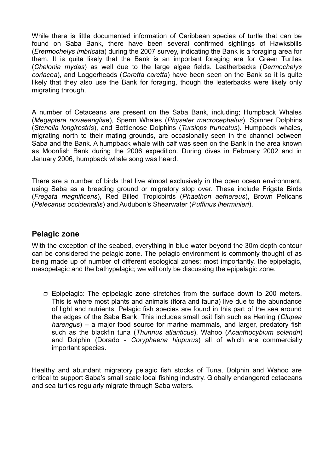While there is little documented information of Caribbean species of turtle that can be found on Saba Bank, there have been several confirmed sightings of Hawksbills (*Eretmochelys imbricata*) during the 2007 survey, indicating the Bank is a foraging area for them. It is quite likely that the Bank is an important foraging are for Green Turtles (*Chelonia mydas*) as well due to the large algae fields. Leatherbacks (*Dermochelys coriacea*), and Loggerheads (*Caretta caretta*) have been seen on the Bank so it is quite likely that they also use the Bank for foraging, though the leaterbacks were likely only migrating through.

A number of Cetaceans are present on the Saba Bank, including; Humpback Whales (*Megaptera novaeangliae*), Sperm Whales (*Physeter macrocephalus*), Spinner Dolphins (*Stenella longirostris*), and Bottlenose Dolphins (*Tursiops truncatus*). Humpback whales, migrating north to their mating grounds, are occasionally seen in the channel between Saba and the Bank. A humpback whale with calf was seen on the Bank in the area known as Moonfish Bank during the 2006 expedition. During dives in February 2002 and in January 2006, humpback whale song was heard.

There are a number of birds that live almost exclusively in the open ocean environment, using Saba as a breeding ground or migratory stop over. These include Frigate Birds (*Fregata magnificens*), Red Billed Tropicbirds (*Phaethon aethereus*), Brown Pelicans (*Pelecanus occidentalis*) and Audubon's Shearwater (*Puffinus lherminieri*).

#### **Pelagic zone**

With the exception of the seabed, everything in blue water beyond the 30m depth contour can be considered the pelagic zone. The pelagic environment is commonly thought of as being made up of number of different ecological zones; most importantly, the epipelagic, mesopelagic and the bathypelagic; we will only be discussing the epipelagic zone.

□ Epipelagic: The epipelagic zone stretches from the surface down to 200 meters. This is where most plants and animals (flora and fauna) live due to the abundance of light and nutrients. Pelagic fish species are found in this part of the sea around the edges of the Saba Bank. This includes small bait fish such as Herring (*Clupea harengus*) – a major food source for marine mammals, and larger, predatory fish such as the blackfin tuna (*Thunnus atlanticus*), Wahoo (*Acanthocybium solandri*) and Dolphin (Dorado - *Coryphaena hippurus*) all of which are commercially important species.

Healthy and abundant migratory pelagic fish stocks of Tuna, Dolphin and Wahoo are critical to support Saba's small scale local fishing industry. Globally endangered cetaceans and sea turtles regularly migrate through Saba waters.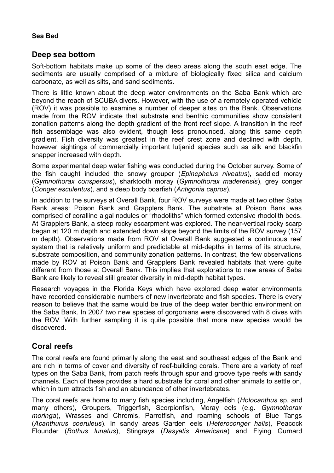#### **Sea Bed**

#### **Deep sea bottom**

Soft-bottom habitats make up some of the deep areas along the south east edge. The sediments are usually comprised of a mixture of biologically fixed silica and calcium carbonate, as well as silts, and sand sediments.

There is little known about the deep water environments on the Saba Bank which are beyond the reach of SCUBA divers. However, with the use of a remotely operated vehicle (ROV) it was possible to examine a number of deeper sites on the Bank. Observations made from the ROV indicate that substrate and benthic communities show consistent zonation patterns along the depth gradient of the front reef slope. A transition in the reef fish assemblage was also evident, though less pronounced, along this same depth gradient. Fish diversity was greatest in the reef crest zone and declined with depth, however sightings of commercially important lutjanid species such as silk and blackfin snapper increased with depth.

Some experimental deep water fishing was conducted during the October survey. Some of the fish caught included the snowy grouper (*Epinephelus niveatus*), saddled moray (G*ymnothorax conspersus*), sharktooth moray (*Gymnothorax maderensis*), grey conger (*Conger esculentus*), and a deep body boarfish (*Antigonia capros*).

In addition to the surveys at Overall Bank, four ROV surveys were made at two other Saba Bank areas: Poison Bank and Grapplers Bank. The substrate at Poison Bank was comprised of coralline algal nodules or "rhodoliths" which formed extensive rhodolith beds. At Grapplers Bank, a steep rocky escarpment was explored. The near-vertical rocky scarp began at 120 m depth and extended down slope beyond the limits of the ROV survey (157 m depth). Observations made from ROV at Overall Bank suggested a continuous reef system that is relatively uniform and predictable at mid-depths in terms of its structure, substrate composition, and community zonation patterns. In contrast, the few observations made by ROV at Poison Bank and Grapplers Bank revealed habitats that were quite different from those at Overall Bank. This implies that explorations to new areas of Saba Bank are likely to reveal still greater diversity in mid-depth habitat types.

Research voyages in the Florida Keys which have explored deep water environments have recorded considerable numbers of new invertebrate and fish species. There is every reason to believe that the same would be true of the deep water benthic environment on the Saba Bank. In 2007 two new species of gorgonians were discovered with 8 dives with the ROV. With further sampling it is quite possible that more new species would be discovered.

### **Coral reefs**

The coral reefs are found primarily along the east and southeast edges of the Bank and are rich in terms of cover and diversity of reef-building corals. There are a variety of reef types on the Saba Bank, from patch reefs through spur and groove type reefs with sandy channels. Each of these provides a hard substrate for coral and other animals to settle on, which in turn attracts fish and an abundance of other invertebrates.

The coral reefs are home to many fish species including, Angelfish (*Holocanthus* sp. and many others), Groupers, Triggerfish, Scorpionfish, Moray eels (e.g. *Gymnothorax moringa*), Wrasses and Chromis, Parrotfish, and roaming schools of Blue Tangs (*Acanthurus coeruleus*). In sandy areas Garden eels (*Heteroconger halis*), Peacock Flounder (*Bothus lunatus*), Stingrays (*Dasyatis Americana*) and Flying Gurnard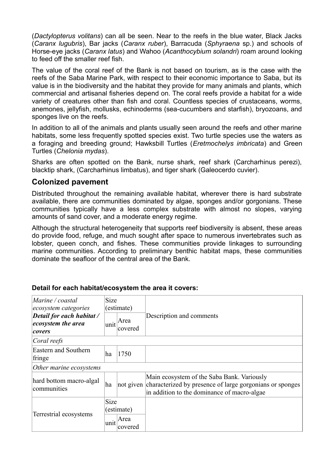(*Dactylopterus volitans*) can all be seen. Near to the reefs in the blue water, Black Jacks (*Caranx lugubris*), Bar jacks (*Caranx ruber*), Barracuda (*Sphyraena* sp.) and schools of Horse-eye jacks (*Caranx latus*) and Wahoo (*Acanthocybium solandri*) roam around looking to feed off the smaller reef fish.

The value of the coral reef of the Bank is not based on tourism, as is the case with the reefs of the Saba Marine Park, with respect to their economic importance to Saba, but its value is in the biodiversity and the habitat they provide for many animals and plants, which commercial and artisanal fisheries depend on. The coral reefs provide a habitat for a wide variety of creatures other than fish and coral. Countless species of crustaceans, worms, anemones, jellyfish, mollusks, echinoderms (sea-cucumbers and starfish), bryozoans, and sponges live on the reefs.

In addition to all of the animals and plants usually seen around the reefs and other marine habitats, some less frequently spotted species exist. Two turtle species use the waters as a foraging and breeding ground; Hawksbill Turtles (*Eretmochelys imbricata*) and Green Turtles (*Chelonia mydas*).

Sharks are often spotted on the Bank, nurse shark, reef shark (Carcharhinus perezi), blacktip shark, (Carcharhinus limbatus), and tiger shark (Galeocerdo cuvier).

#### **Colonized pavement**

Distributed throughout the remaining available habitat, wherever there is hard substrate available, there are communities dominated by algae, sponges and/or gorgonians. These communities typically have a less complex substrate with almost no slopes, varying amounts of sand cover, and a moderate energy regime.

Although the structural heterogeneity that supports reef biodiversity is absent, these areas do provide food, refuge, and much sought after space to numerous invertebrates such as lobster, queen conch, and fishes. These communities provide linkages to surrounding marine communities. According to preliminary benthic habitat maps, these communities dominate the seafloor of the central area of the Bank.

| Marine / coastal<br>ecosystem categories                  | <b>Size</b><br>(estimate) |                                      |                                                                                                                                                                 |
|-----------------------------------------------------------|---------------------------|--------------------------------------|-----------------------------------------------------------------------------------------------------------------------------------------------------------------|
| Detail for each habitat /<br>ecosystem the area<br>covers |                           | $\vert$ unit $\vert$ Area<br>covered | Description and comments                                                                                                                                        |
| Coral reefs                                               |                           |                                      |                                                                                                                                                                 |
| Eastern and Southern<br>fringe                            | ha                        | 1750                                 |                                                                                                                                                                 |
| Other marine ecosystems                                   |                           |                                      |                                                                                                                                                                 |
| hard bottom macro-algal<br>communities                    | ha                        |                                      | Main ecosystem of the Saba Bank. Variously<br>not given characterized by presence of large gorgonians or sponges<br>in addition to the dominance of macro-algae |
| Terrestrial ecosystems                                    | <b>Size</b>               | (estimate)<br>Area                   |                                                                                                                                                                 |
|                                                           | unit                      | covered                              |                                                                                                                                                                 |

#### **Detail for each habitat/ecosystem the area it covers:**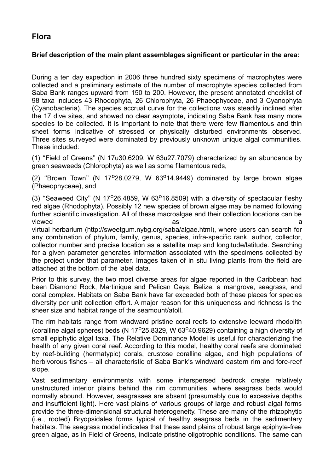#### **Flora**

#### **Brief description of the main plant assemblages significant or particular in the area:**

During a ten day expedtion in 2006 three hundred sixty specimens of macrophytes were collected and a preliminary estimate of the number of macrophyte species collected from Saba Bank ranges upward from 150 to 200. However, the present annotated checklist of 98 taxa includes 43 Rhodophyta, 26 Chlorophyta, 26 Phaeophyceae, and 3 Cyanophyta (Cyanobacteria). The species accrual curve for the collections was steadily inclined after the 17 dive sites, and showed no clear asymptote, indicating Saba Bank has many more species to be collected. It is important to note that there were few filamentous and thin sheet forms indicative of stressed or physically disturbed environments observed. Three sites surveyed were dominated by previously unknown unique algal communities. These included:

(1) ''Field of Greens'' (N 17u30.6209, W 63u27.7079) characterized by an abundance by green seaweeds (Chlorophyta) as well as some filamentous reds,

(2) "Brown Town" (N  $17^{\circ}28.0279$ , W  $63^{\circ}14.9449$ ) dominated by large brown algae (Phaeophyceae), and

(3) "Seaweed City" (N  $17^{\circ}$ 26.4859, W 63 $^{\circ}$ 16.8509) with a diversity of spectacular fleshy red algae (Rhodophyta). Possibly 12 new species of brown algae may be named following further scientific investigation. All of these macroalgae and their collection locations can be viewed as a structure of the structure as a structure of the structure  $\alpha$  as a structure of the structure  $\alpha$ virtual herbarium (http://sweetgum.nybg.org/saba/algae.html), where users can search for any combination of phylum, family, genus, species, infra-specific rank, author, collector, collector number and precise location as a satellite map and longitude/latitude. Searching for a given parameter generates information associated with the specimens collected by the project under that parameter. Images taken of in situ living plants from the field are attached at the bottom of the label data.

Prior to this survey, the two most diverse areas for algae reported in the Caribbean had been Diamond Rock, Martinique and Pelican Cays, Belize, a mangrove, seagrass, and coral complex. Habitats on Saba Bank have far exceeded both of these places for species diversity per unit collection effort. A major reason for this uniqueness and richness is the sheer size and habitat range of the seamount/atoll.

The rim habitats range from windward pristine coral reefs to extensive leeward rhodolith (coralline algal spheres) beds (N  $17^{\circ}$ 25.8329, W 63 $^{\circ}$ 40.9629) containing a high diversity of small epiphytic algal taxa. The Relative Dominance Model is useful for characterizing the health of any given coral reef. According to this model, healthy coral reefs are dominated by reef-building (hermatypic) corals, crustose coralline algae, and high populations of herbivorous fishes – all characteristic of Saba Bank's windward eastern rim and fore-reef slope.

Vast sedimentary environments with some interspersed bedrock create relatively unstructured interior plains behind the rim communities, where seagrass beds would normally abound. However, seagrasses are absent (presumably due to excessive depths and insufficient light). Here vast plains of various groups of large and robust algal forms provide the three-dimensional structural heterogeneity. These are many of the rhizophytic (i.e., rooted) Bryopsidales forms typical of healthy seagrass beds in the sedimentary habitats. The seagrass model indicates that these sand plains of robust large epiphyte-free green algae, as in Field of Greens, indicate pristine oligotrophic conditions. The same can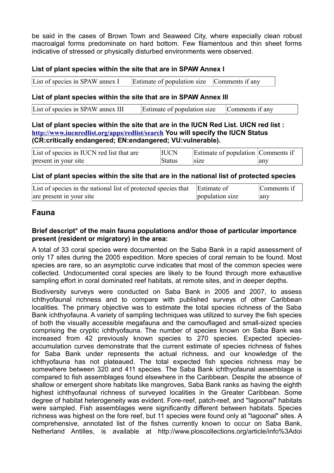be said in the cases of Brown Town and Seaweed City, where especially clean robust macroalgal forms predominate on hard bottom. Few filamentous and thin sheet forms indicative of stressed or physically disturbed environments were observed.

#### **List of plant species within the site that are in SPAW Annex I**

| List of species in SPAW annex I | Estimate of population size Comments if any |  |
|---------------------------------|---------------------------------------------|--|
|---------------------------------|---------------------------------------------|--|

#### **List of plant species within the site that are in SPAW Annex III**

| List of species in SPAW annex III | Estimate of population size | Comments if any |
|-----------------------------------|-----------------------------|-----------------|
|                                   |                             |                 |

#### **List of plant species within the site that are in the IUCN Red List. UICN red list : <http://www.iucnredlist.org/apps/redlist/search> You will specify the IUCN Status (CR:critically endangered; EN:endangered; VU:vulnerable).**

| List of species in IUCN red list that are | <b>IUCN</b>   | Estimate of population Comments if |     |
|-------------------------------------------|---------------|------------------------------------|-----|
| present in your site                      | <b>Status</b> | size                               | any |

#### **List of plant species within the site that are in the national list of protected species**

| List of species in the national list of protected species that Estimate of |                 | Comments if |
|----------------------------------------------------------------------------|-----------------|-------------|
| are present in your site                                                   | population size | anv         |

#### **Fauna**

#### **Brief descript° of the main fauna populations and/or those of particular importance present (resident or migratory) in the area:**

A total of 33 coral species were documented on the Saba Bank in a rapid assessment of only 17 sites during the 2005 expedition. More species of coral remain to be found. Most species are rare, so an asymptotic curve indicates that most of the common species were collected. Undocumented coral species are likely to be found through more exhaustive sampling effort in coral dominated reef habitats, at remote sites, and in deeper depths.

Biodiversity surveys were conducted on Saba Bank in 2005 and 2007, to assess ichthyofaunal richness and to compare with published surveys of other Caribbean localities. The primary objective was to estimate the total species richness of the Saba Bank ichthyofauna. A variety of sampling techniques was utilized to survey the fish species of both the visually accessible megafauna and the camouflaged and small-sized species comprising the cryptic ichthyofauna. The number of species known on Saba Bank was increased from 42 previously known species to 270 species. Expected speciesaccumulation curves demonstrate that the current estimate of species richness of fishes for Saba Bank under represents the actual richness, and our knowledge of the ichthyofauna has not plateaued. The total expected fish species richness may be somewhere between 320 and 411 species. The Saba Bank ichthyofaunal assemblage is compared to fish assemblages found elsewhere in the Caribbean. Despite the absence of shallow or emergent shore habitats like mangroves, Saba Bank ranks as having the eighth highest ichthyofaunal richness of surveyed localities in the Greater Caribbean. Some degree of habitat heterogeneity was evident. Fore-reef, patch-reef, and "lagoonal" habitats were sampled. Fish assemblages were significantly different between habitats. Species richness was highest on the fore reef, but 11 species were found only at "lagoonal" sites. A comprehensive, annotated list of the fishes currently known to occur on Saba Bank, Netherland Antilles, is available at http://www.ploscollections.org/article/info%3Adoi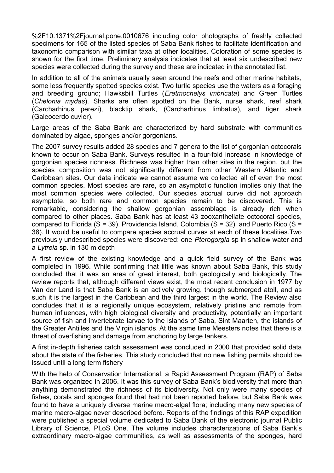%2F10.1371%2Fjournal.pone.0010676 including color photographs of freshly collected specimens for 165 of the listed species of Saba Bank fishes to facilitate identification and taxonomic comparison with similar taxa at other localities. Coloration of some species is shown for the first time. Preliminary analysis indicates that at least six undescribed new species were collected during the survey and these are indicated in the annotated list.

In addition to all of the animals usually seen around the reefs and other marine habitats, some less frequently spotted species exist. Two turtle species use the waters as a foraging and breeding ground; Hawksbill Turtles (*Eretmochelys imbricata*) and Green Turtles (*Chelonia mydas*). Sharks are often spotted on the Bank, nurse shark, reef shark (Carcharhinus perezi), blacktip shark, (Carcharhinus limbatus), and tiger shark (Galeocerdo cuvier).

Large areas of the Saba Bank are characterized by hard substrate with communities dominated by algae, sponges and/or gorgonians.

The 2007 survey results added 28 species and 7 genera to the list of gorgonian octocorals known to occur on Saba Bank. Surveys resulted in a four-fold increase in knowledge of gorgonian species richness. Richness was higher than other sites in the region, but the species composition was not significantly different from other Western Atlantic and Caribbean sites. Our data indicate we cannot assume we collected all of even the most common species. Most species are rare, so an asymptotic function implies only that the most common species were collected. Our species accrual curve did not approach asymptote, so both rare and common species remain to be discovered. This is remarkable, considering the shallow gorgonian assemblage is already rich when compared to other places. Saba Bank has at least 43 zooxanthellate octocoral species, compared to Florida (S = 39), Providencia Island, Colombia (S = 32), and Puerto Rico (S = 38). It would be useful to compare species accrual curves at each of these localities.Two previously undescribed species were discovered: one *Pterogorgia* sp in shallow water and a *Lytreia* sp. in 130 m depth

A first review of the existing knowledge and a quick field survey of the Bank was completed in 1996. While confirming that little was known about Saba Bank, this study concluded that it was an area of great interest, both geologically and biologically. The review reports that, although different views exist, the most recent conclusion in 1977 by Van der Land is that Saba Bank is an actively growing, though submerged atoll, and as such it is the largest in the Caribbean and the third largest in the world. The Review also concludes that it is a regionally unique ecosystem, relatively pristine and remote from human influences, with high biological diversity and productivity, potentially an important source of fish and invertebrate larvae to the islands of Saba, Sint Maarten, the islands of the Greater Antilles and the Virgin islands. At the same time Meesters notes that there is a threat of overfishing and damage from anchoring by large tankers.

A first in-depth fisheries catch assessment was concluded in 2000 that provided solid data about the state of the fisheries. This study concluded that no new fishing permits should be issued until a long term fishery

With the help of Conservation International, a Rapid Assessment Program (RAP) of Saba Bank was organized in 2006. It was this survey of Saba Bank's biodiversity that more than anything demonstrated the richness of its biodiversity. Not only were many species of fishes, corals and sponges found that had not been reported before, but Saba Bank was found to have a uniquely diverse marine macro-algal flora; including many new species of marine macro-algae never described before. Reports of the findings of this RAP expedition were published a special volume dedicated to Saba Bank of the electronic journal Public Library of Science, PLoS One. The volume includes characterizations of Saba Bank's extraordinary macro-algae communities, as well as assessments of the sponges, hard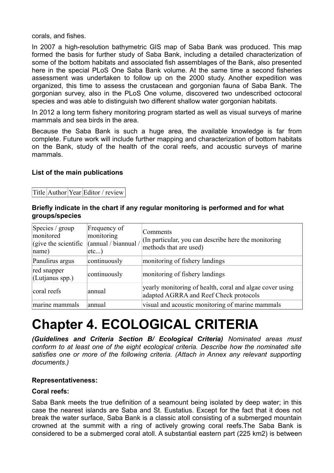corals, and fishes.

In 2007 a high-resolution bathymetric GIS map of Saba Bank was produced. This map formed the basis for further study of Saba Bank, including a detailed characterization of some of the bottom habitats and associated fish assemblages of the Bank, also presented here in the special PLoS One Saba Bank volume. At the same time a second fisheries assessment was undertaken to follow up on the 2000 study. Another expedition was organized, this time to assess the crustacean and gorgonian fauna of Saba Bank. The gorgonian survey, also in the PLoS One volume, discovered two undescribed octocoral species and was able to distinguish two different shallow water gorgonian habitats.

In 2012 a long term fishery monitoring program started as well as visual surveys of marine mammals and sea birds in the area.

Because the Saba Bank is such a huge area, the available knowledge is far from complete. Future work will include further mapping and characterization of bottom habitats on the Bank, study of the health of the coral reefs, and acoustic surveys of marine mammals.

#### **List of the main publications**

Title Author Year Editor / review

#### **Briefly indicate in the chart if any regular monitoring is performed and for what groups/species**

| Species / group<br>monitored<br>$\int$ (give the scientific<br> name) | Frequency of<br>monitoring<br>(annual / biannual /<br> etc | Comments<br>(In particular, you can describe here the monitoring<br>methods that are used)         |
|-----------------------------------------------------------------------|------------------------------------------------------------|----------------------------------------------------------------------------------------------------|
| Panulirus argus                                                       | continuously                                               | monitoring of fishery landings                                                                     |
| red snapper<br>$ $ (Lutjanus spp.)                                    | continuously                                               | monitoring of fishery landings                                                                     |
| coral reefs                                                           | annual                                                     | yearly monitoring of health, coral and algae cover using<br>adapted AGRRA and Reef Check protocols |
| marine mammals                                                        | annual                                                     | visual and acoustic monitoring of marine mammals                                                   |

## **Chapter 4. ECOLOGICAL CRITERIA**

*(Guidelines and Criteria Section B/ Ecological Criteria) Nominated areas must conform to at least one of the eight ecological criteria. Describe how the nominated site satisfies one or more of the following criteria. (Attach in Annex any relevant supporting documents.)*

#### **Representativeness:**

#### **Coral reefs:**

Saba Bank meets the true definition of a seamount being isolated by deep water; in this case the nearest islands are Saba and St. Eustatius. Except for the fact that it does not break the water surface, Saba Bank is a classic atoll consisting of a submerged mountain crowned at the summit with a ring of actively growing coral reefs.The Saba Bank is considered to be a submerged coral atoll. A substantial eastern part (225 km2) is between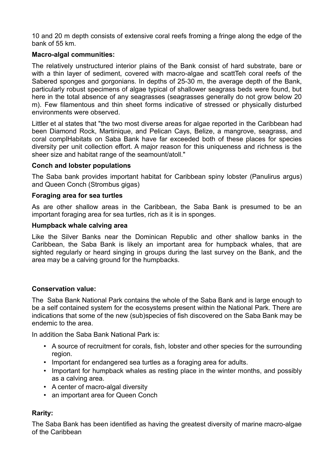10 and 20 m depth consists of extensive coral reefs froming a fringe along the edge of the bank of 55 km.

#### **Macro-algal communities:**

The relatively unstructured interior plains of the Bank consist of hard substrate, bare or with a thin layer of sediment, covered with macro-algae and scattTeh coral reefs of the Sabered sponges and gorgonians. In depths of 25-30 m, the average depth of the Bank, particularly robust specimens of algae typical of shallower seagrass beds were found, but here in the total absence of any seagrasses (seagrasses generally do not grow below 20 m). Few filamentous and thin sheet forms indicative of stressed or physically disturbed environments were observed.

Littler et al states that "the two most diverse areas for algae reported in the Caribbean had been Diamond Rock, Martinique, and Pelican Cays, Belize, a mangrove, seagrass, and coral complHabitats on Saba Bank have far exceeded both of these places for species diversity per unit collection effort. A major reason for this uniqueness and richness is the sheer size and habitat range of the seamount/atoll."

#### **Conch and lobster populations**

The Saba bank provides important habitat for Caribbean spiny lobster (Panulirus argus) and Queen Conch (Strombus gigas)

#### **Foraging area for sea turtles**

As are other shallow areas in the Caribbean, the Saba Bank is presumed to be an important foraging area for sea turtles, rich as it is in sponges.

#### **Humpback whale calving area**

Like the Silver Banks near the Dominican Republic and other shallow banks in the Caribbean, the Saba Bank is likely an important area for humpback whales, that are sighted regularly or heard singing in groups during the last survey on the Bank, and the area may be a calving ground for the humpbacks.

#### **Conservation value:**

The Saba Bank National Park contains the whole of the Saba Bank and is large enough to be a self contained system for the ecosystems present within the National Park. There are indications that some of the new (sub)species of fish discovered on the Saba Bank may be endemic to the area.

In addition the Saba Bank National Park is:

- A source of recruitment for corals, fish, lobster and other species for the surrounding region.
- Important for endangered sea turtles as a foraging area for adults.
- Important for humpback whales as resting place in the winter months, and possibly as a calving area.
- A center of macro-algal diversity
- an important area for Queen Conch

#### **Rarity:**

The Saba Bank has been identified as having the greatest diversity of marine macro-algae of the Caribbean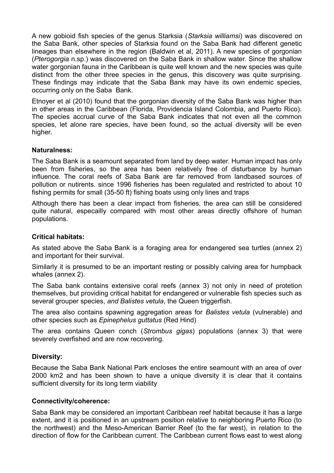A new gobioid fish species of the genus Starksia (*Starksia williamsi*) was discovered on the Saba Bank, other species of Starksia found on the Saba Bank had different genetic lineages than elsewhere in the region (Baldwin et al, 2011). A new species of gorgonian (*Pterogorgia* n.sp.) was discovered on the Saba Bank in shallow water. Since the shallow water gorgonian fauna in the Caribbean is quite well known and the new species was quite distinct from the other three species in the genus, this discovery was quite surprising. These findings may indicate that the Saba Bank may have its own endemic species, occurring only on the Saba Bank.

Etnoyer et al (2010) found that the gorgonian diversity of the Saba Bank was higher than in other areas in the Caribbean (Florida, Providencia Island Colombia, and Puerto Rico). The species accrual curve of the Saba Bank indicates that not even all the common species, let alone rare species, have been found, so the actual diversity will be even higher.

#### **Naturalness:**

The Saba Bank is a seamount separated from land by deep water. Human impact has only been from fisheries, so the area has been relatively free of disturbance by human influence. The coral reefs of Saba Bank are far removed from landbased sources of pollution or nutirents. since 1996 fisheries has been regulated and restricted to about 10 fishing permits for small (35-50 ft) fishing boats using only lines and traps

Although there has been a clear impact from fisheries, the area can still be considered quite natural, especailly compared with most other areas directly offshore of human populations.

#### **Critical habitats:**

As stated above the Saba Bank is a foraging area for endangered sea turtles (annex 2) and important for their survival.

Similarly it is presumed to be an important resting or possibly calving area for humpback whales (annex 2).

The Saba bank contains extensive coral reefs (annex 3) not only in need of protetion themselves, but providing critical habitat for endangered or vulnerable fish species such as several grouper species, *and Balistes vetula*, the Queen triggerfish.

The area also contains spawning aggregation areas for *Balistes vetula* (vulnerable) and other species such as *Epinephelus guttatus* (Red Hind)

The area contains Queen conch (*Strombus gigas*) populations (annex 3) that were severely overfished and are now recovering.

#### **Diversity:**

Because the Saba Bank National Park encloses the entire seamount with an area of over 2000 km2 and has been shown to have a unique diversity it is clear that it contains sufficient diversity for its long term viability

#### **Connectivity/coherence:**

Saba Bank may be considered an important Caribbean reef habitat because it has a large extent, and it is positioned in an upstream position relative to neighboring Puerto Rico (to the northwest) and the Meso-American Barrier Reef (to the far west), in relation to the direction of flow for the Caribbean current. The Caribbean current flows east to west along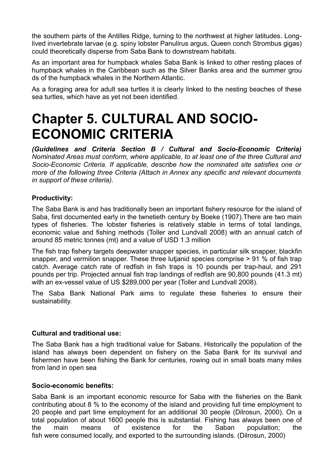the southern parts of the Antilles Ridge, turning to the northwest at higher latitudes. Longlived invertebrate larvae (e.g. spiny lobster Panulirus argus, Queen conch Strombus gigas) could theoretically disperse from Saba Bank to downstream habitats.

As an important area for humpback whales Saba Bank is linked to other resting places of humpback whales in the Caribbean such as the Silver Banks area and the summer grou ds of the humpback whales in the Northern Atlantic.

As a foraging area for adult sea turtles it is clearly linked to the nesting beaches of these sea turtles, which have as yet not been identified.

## **Chapter 5. CULTURAL AND SOCIO-ECONOMIC CRITERIA**

*(Guidelines and Criteria Section B / Cultural and Socio-Economic Criteria) Nominated Areas must conform, where applicable, to at least one of the three Cultural and Socio-Economic Criteria. If applicable, describe how the nominated site satisfies one or more of the following three Criteria (Attach in Annex any specific and relevant documents in support of these criteria).*

#### **Productivity:**

The Saba Bank is and has traditionally been an important fishery resource for the island of Saba, first documented early in the twnetieth century by Boeke (1907).There are two main types of fisheries. The lobster fisheries is relatively stable in terms of total landings, economic value and fishing methods (Toller and Lundvall 2008) with an annual catch of around 85 metric tonnes (mt) and a value of USD 1.3 million

The fish trap fishery targets deepwater snapper species, in particular silk snapper, blackfin snapper, and vermilion snapper. These three lutjanid species comprise > 91 % of fish trap catch. Average catch rate of redfish in fish traps is 10 pounds per trap-haul, and 291 pounds per trip. Projected annual fish trap landings of redfish are 90,800 pounds (41.3 mt) with an ex-vessel value of US \$289,000 per year (Toller and Lundvall 2008).

The Saba Bank National Park aims to regulate these fisheries to ensure their sustainability.

#### **Cultural and traditional use:**

The Saba Bank has a high traditional value for Sabans. Historically the population of the island has always been dependent on fishery on the Saba Bank for its survival and fishermen have been fishing the Bank for centuries, rowing out in small boats many miles from land in open sea

#### **Socio-economic benefits:**

Saba Bank is an important economic resource for Saba with the fisheries on the Bank contributing about 8 % to the economy of the island and providing full time employment to 20 people and part time employment for an additional 30 people (Dilrosun, 2000). On a total population of about 1600 people this is substantial. Fishing has always been one of the main means of existence for the Saban population; the fish were consumed locally, and exported to the surrounding islands. (Dilrosun, 2000)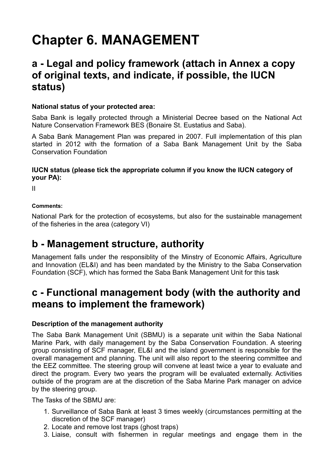## **Chapter 6. MANAGEMENT**

### **a - Legal and policy framework (attach in Annex a copy of original texts, and indicate, if possible, the IUCN status)**

#### **National status of your protected area:**

Saba Bank is legally protected through a Ministerial Decree based on the National Act Nature Conservation Framework BES (Bonaire St. Eustatius and Saba).

A Saba Bank Management Plan was prepared in 2007. Full implementation of this plan started in 2012 with the formation of a Saba Bank Management Unit by the Saba Conservation Foundation

#### **IUCN status (please tick the appropriate column if you know the IUCN category of your PA):**

II

#### **Comments:**

National Park for the protection of ecosystems, but also for the sustainable management of the fisheries in the area (category VI)

### **b - Management structure, authority**

Management falls under the responsiblity of the Minstry of Economic Affairs, Agriculture and Innovation (EL&I) and has been mandated by the Ministry to the Saba Conservation Foundation (SCF), which has formed the Saba Bank Management Unit for this task

### **c - Functional management body (with the authority and means to implement the framework)**

#### **Description of the management authority**

The Saba Bank Management Unit (SBMU) is a separate unit within the Saba National Marine Park, with daily management by the Saba Conservation Foundation. A steering group consisting of SCF manager, EL&I and the island government is responsible for the overall management and planning. The unit will also report to the steering committee and the EEZ committee. The steering group will convene at least twice a year to evaluate and direct the program. Every two years the program will be evaluated externally. Activities outside of the program are at the discretion of the Saba Marine Park manager on advice by the steering group.

The Tasks of the SBMU are:

- 1. Surveillance of Saba Bank at least 3 times weekly (circumstances permitting at the discretion of the SCF manager)
- 2. Locate and remove lost traps (ghost traps)
- 3. Liaise, consult with fishermen in regular meetings and engage them in the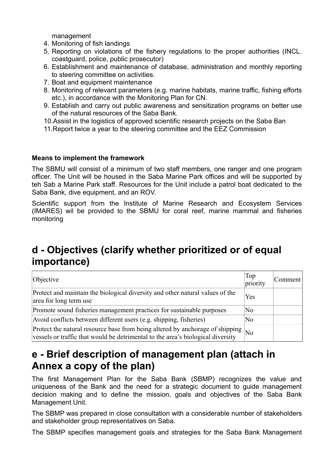management

- 4. Monitoring of fish landings
- 5. Reporting on violations of the fishery regulations to the proper authorities (INCL. coastguard, police, public prosecutor)
- 6. Establishment and maintenance of database, administration and monthly reporting to steering committee on activities.
- 7. Boat and equipment maintenance
- 8. Monitoring of relevant parameters (e.g. marine habitats, marine traffic, fishing efforts etc.), in accordance with the Monitoring Plan for CN.
- 9. Establish and carry out public awareness and sensitization programs on better use of the natural resources of the Saba Bank.
- 10.Assist in the logistics of approved scientific research projects on the Saba Ban
- 11.Report twice a year to the steering committee and the EEZ Commission

#### **Means to implement the framework**

The SBMU will consist of a minimum of two staff members, one ranger and one program officer. The Unit will be housed in the Saba Marine Park offices and will be supported by teh Sab a Marine Park staff. Resources for the Unit include a patrol boat dedicated to the Saba Bank, dive equipment, and an ROV.

Scientific support from the Institute of Marine Research and Ecosystem Services (IMARES) wil be provided to the SBMU for coral reef, marine mammal and fisheries monitoring

### **d - Objectives (clarify whether prioritized or of equal importance)**

| Objective                                                                                                                                                        | Top<br>priority        | Comment |
|------------------------------------------------------------------------------------------------------------------------------------------------------------------|------------------------|---------|
| Protect and maintain the biological diversity and other natural values of the<br>area for long term use                                                          | Yes                    |         |
| Promote sound fisheries management practices for sustainable purposes                                                                                            | N <sub>0</sub>         |         |
| Avoid conflicts between different users (e.g. shipping, fisheries)                                                                                               | N <sub>0</sub>         |         |
| Protect the natural resource base from being altered by anchorage of shipping<br>vessels or traffic that would be detrimental to the area's biological diversity | $\overline{\text{No}}$ |         |

### **e - Brief description of management plan (attach in Annex a copy of the plan)**

The first Management Plan for the Saba Bank (SBMP) recognizes the value and uniqueness of the Bank and the need for a strategic document to guide management decision making and to define the mission, goals and objectives of the Saba Bank Management Unit.

The SBMP was prepared in close consultation with a considerable number of stakeholders and stakeholder group representatives on Saba.

The SBMP specifies management goals and strategies for the Saba Bank Management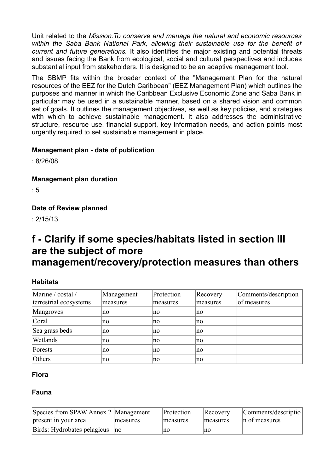Unit related to the *Mission:To conserve and manage the natural and economic resources within the Saba Bank National Park, allowing their sustainable use for the benefit of current and future generations.* It also identifies the major existing and potential threats and issues facing the Bank from ecological, social and cultural perspectives and includes substantial input from stakeholders. It is designed to be an adaptive management tool.

The SBMP fits within the broader context of the "Management Plan for the natural resources of the EEZ for the Dutch Caribbean" (EEZ Management Plan) which outlines the purposes and manner in which the Caribbean Exclusive Economic Zone and Saba Bank in particular may be used in a sustainable manner, based on a shared vision and common set of goals. It outlines the management objectives, as well as key policies, and strategies with which to achieve sustainable management. It also addresses the administrative structure, resource use, financial support, key information needs, and action points most urgently required to set sustainable management in place.

#### **Management plan - date of publication**

: 8/26/08

**Management plan duration** 

 $\cdot$  5

#### **Date of Review planned**

: 2/15/13

### **f - Clarify if some species/habitats listed in section III are the subject of more management/recovery/protection measures than others**

#### **Habitats**

| Marine / costal /<br>terrestrial ecosystems | Management<br>measures | Protection<br>measures | Recovery<br>measures | Comments/description<br>of measures |
|---------------------------------------------|------------------------|------------------------|----------------------|-------------------------------------|
| Mangroves                                   | no                     | no                     | no                   |                                     |
| Coral                                       | no                     | no                     | no                   |                                     |
| Sea grass beds                              | no                     | no                     | no                   |                                     |
| Wetlands                                    | no                     | no                     | no                   |                                     |
| Forests                                     | no                     | no                     | no                   |                                     |
| Others                                      | no                     | no                     | no                   |                                     |

#### **Flora**

#### **Fauna**

| Species from SPAW Annex 2 Management |                | Protection | Recovery | Comments/descriptio |
|--------------------------------------|----------------|------------|----------|---------------------|
| present in your area                 | measures       | measures   | measures | n of measures       |
| Birds: Hydrobates pelagicus          | $\overline{p}$ | no         | no       |                     |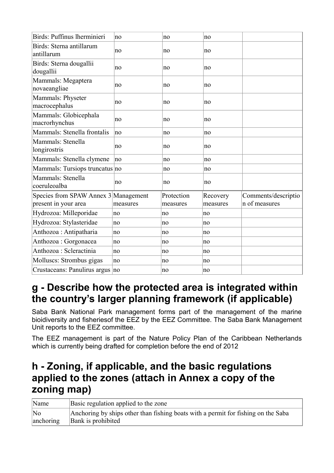| Birds: Puffinus lherminieri                                  | no       | no                     | no                   |                                      |
|--------------------------------------------------------------|----------|------------------------|----------------------|--------------------------------------|
| Birds: Sterna antillarum<br>antillarum                       | no       | no                     | no                   |                                      |
| Birds: Sterna dougallii<br>dougallii                         | no       | no                     | no                   |                                      |
| Mammals: Megaptera<br>novaeangliae                           | no       | no                     | no                   |                                      |
| Mammals: Physeter<br>macrocephalus                           | no       | no                     | no                   |                                      |
| Mammals: Globicephala<br>macrorhynchus                       | no       | no                     | no                   |                                      |
| Mammals: Stenella frontalis                                  | no       | no                     | no                   |                                      |
| Mammals: Stenella<br>longirostris                            | no       | no                     | no                   |                                      |
| Mammals: Stenella clymene                                    | no       | no                     | no                   |                                      |
| Mammals: Tursiops truncatus no                               |          | no                     | no                   |                                      |
| Mammals: Stenella<br>coeruleoalba                            | no       | no                     | no                   |                                      |
| Species from SPAW Annex 3 Management<br>present in your area | measures | Protection<br>measures | Recovery<br>measures | Comments/descriptio<br>n of measures |
| Hydrozoa: Milleporidae                                       | no       | no                     | no                   |                                      |
| Hydrozoa: Stylasteridae                                      | no       | no                     | no                   |                                      |
| Anthozoa: Antipatharia                                       | no       | no                     | no                   |                                      |
| Anthozoa : Gorgonacea                                        | no       | no                     | no                   |                                      |
| Anthozoa : Scleractinia                                      | no       | no                     | no                   |                                      |
| Molluscs: Strombus gigas                                     | no       | no                     | no                   |                                      |
| Crustaceans: Panulirus argus no                              |          | no                     | no                   |                                      |

### **g - Describe how the protected area is integrated within the country's larger planning framework (if applicable)**

Saba Bank National Park management forms part of the management of the marine bioidiversity and fisheriesof the EEZ by the EEZ Committee. The Saba Bank Management Unit reports to the EEZ committee.

The EEZ management is part of the Nature Policy Plan of the Caribbean Netherlands which is currently being drafted for completion before the end of 2012

### **h - Zoning, if applicable, and the basic regulations applied to the zones (attach in Annex a copy of the zoning map)**

| Name      | Basic regulation applied to the zone                                              |
|-----------|-----------------------------------------------------------------------------------|
| No        | Anchoring by ships other than fishing boats with a permit for fishing on the Saba |
| anchoring | Bank is prohibited                                                                |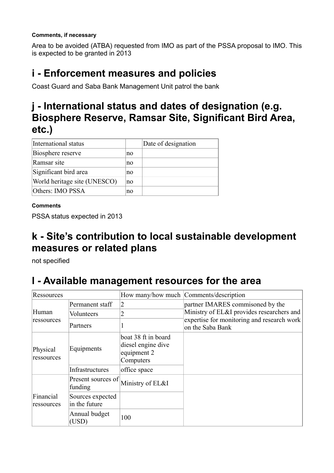#### **Comments, if necessary**

Area to be avoided (ATBA) requested from IMO as part of the PSSA proposal to IMO. This is expected to be granted in 2013

### **i - Enforcement measures and policies**

Coast Guard and Saba Bank Management Unit patrol the bank

### **j - International status and dates of designation (e.g. Biosphere Reserve, Ramsar Site, Significant Bird Area, etc.)**

| International status         |    | Date of designation |
|------------------------------|----|---------------------|
| Biosphere reserve            | no |                     |
| Ramsar site                  | no |                     |
| Significant bird area        | no |                     |
| World heritage site (UNESCO) | no |                     |
| Others: IMO PSSA             | no |                     |

#### **Comments**

PSSA status expected in 2013

### **k - Site's contribution to local sustainable development measures or related plans**

not specified

### **l - Available management resources for the area**

| Ressources              |                                   |                                                                       | How many/how much   Comments/description                       |
|-------------------------|-----------------------------------|-----------------------------------------------------------------------|----------------------------------------------------------------|
|                         | Permanent staff                   | 2                                                                     | partner IMARES commisoned by the                               |
| Human                   | Volunteers                        |                                                                       | Ministry of EL&I provides researchers and                      |
| ressources              | Partners                          |                                                                       | expertise for monitoring and research work<br>on the Saba Bank |
| Physical<br>ressources  | Equipments                        | boat 38 ft in board<br>diesel engine dive<br>equipment 2<br>Computers |                                                                |
|                         | <b>Infrastructures</b>            | office space                                                          |                                                                |
|                         | Present sources of<br>funding     | Ministry of EL&I                                                      |                                                                |
| Financial<br>ressources | Sources expected<br>in the future |                                                                       |                                                                |
|                         | Annual budget<br>(USD)            | 100                                                                   |                                                                |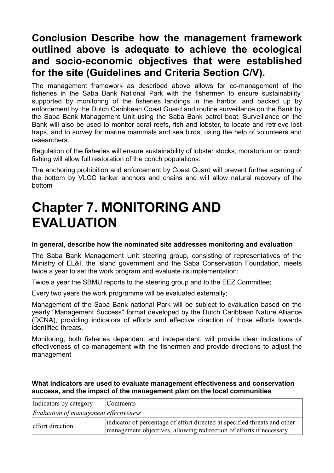### **Conclusion Describe how the management framework outlined above is adequate to achieve the ecological and socio-economic objectives that were established for the site (Guidelines and Criteria Section C/V).**

The management framework as described above allows for co-management of the fisheries in the Saba Bank National Park with the fishermen to ensure sustainability, supported by monitoring of the fisheries landings in the harbor, and backed up by enforcement by the Dutch Caribbean Coast Guard and routine surveillance on the Bank by the Saba Bank Management Unit using the Saba Bank patrol boat. Surveillance on the Bank will also be used to monitor coral reefs, fish and lobster, to locate and retrieve lost traps, and to survey for marine mammals and sea birds, using the help of volunteers and researchers.

Regulation of the fisheries will ensure sustainability of lobster stocks, moratorium on conch fishing will allow full restoration of the conch populations.

The anchoring prohibition and enforcement by Coast Guard will prevent further scarring of the bottom by VLCC tanker anchors and chains and will allow natural recovery of the bottom

## **Chapter 7. MONITORING AND EVALUATION**

#### **In general, describe how the nominated site addresses monitoring and evaluation**

The Saba Bank Management Unit steering group, consisting of representatives of the Ministry of EL&I, the island government and the Saba Conservation Foundation, meets twice a year to set the work program and evaluate its implementation;

Twice a year the SBMU reports to the steering group and to the EEZ Committee;

Every two years the work programme will be evaluated externally;

Management of the Saba Bank national Park will be subject to evaluation based on the yearly "Management Success" format developed by the Dutch Caribbean Nature Alliance (DCNA), providing indicators of efforts and effective direction of those efforts towards identified threats.

Monitoring, both fisheries dependent and independent, will provide clear indications of effectiveness of co-management with the fishermen and provide directions to adjust the management

#### **What indicators are used to evaluate management effectiveness and conservation success, and the impact of the management plan on the local communities**

| Indicators by category                        | Comments                                                                                                                                         |
|-----------------------------------------------|--------------------------------------------------------------------------------------------------------------------------------------------------|
| <i>Evaluation of management effectiveness</i> |                                                                                                                                                  |
| effort direction                              | indicator of percentage of effort directed at specified threats and other<br>management objectives, allowing redirection of efforts if necessary |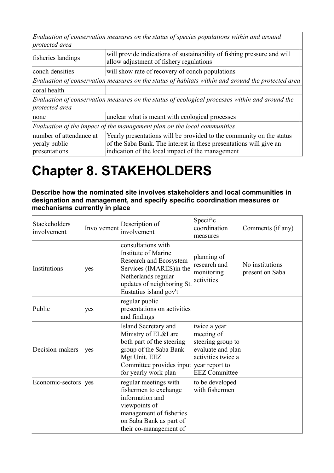*Evaluation of conservation measures on the status of species populations within and around protected area*

| fisheries landings                                        | will provide indications of sustainability of fishing pressure and will<br>allow adjustment of fishery regulations                                                                             |
|-----------------------------------------------------------|------------------------------------------------------------------------------------------------------------------------------------------------------------------------------------------------|
| conch densities                                           | will show rate of recovery of conch populations                                                                                                                                                |
|                                                           | Evaluation of conservation measures on the status of habitats within and around the protected area                                                                                             |
| coral health                                              |                                                                                                                                                                                                |
| protected area                                            | Evaluation of conservation measures on the status of ecological processes within and around the                                                                                                |
| none                                                      | unclear what is meant with ecological processes                                                                                                                                                |
|                                                           | Evaluation of the impact of the management plan on the local communities                                                                                                                       |
| number of attendance at<br>veraly public<br>presentations | Yearly presentations will be provided to the community on the status<br>of the Saba Bank. The interest in these presentations will give an<br>indication of the local impact of the management |

## **Chapter 8. STAKEHOLDERS**

**Describe how the nominated site involves stakeholders and local communities in designation and management, and specify specific coordination measures or mechanisms currently in place** 

| Stackeholders<br>involvement | Involvement | Description of<br>involvement                                                                                                                                                           | Specific<br>coordination<br>measures                                                                               | Comments (if any)                  |
|------------------------------|-------------|-----------------------------------------------------------------------------------------------------------------------------------------------------------------------------------------|--------------------------------------------------------------------------------------------------------------------|------------------------------------|
| Institutions                 | yes         | consultations with<br>Institute of Marine<br>Research and Ecosystem<br>Services (IMARES) in the<br>Netherlands regular<br>updates of neighboring St.<br>Eustatius island gov't          | planning of<br>research and<br>monitoring<br>activities                                                            | No institutions<br>present on Saba |
| Public                       | yes         | regular public<br>presentations on activities<br>and findings                                                                                                                           |                                                                                                                    |                                    |
| Decision-makers              | yes         | Island Secretary and<br>Ministry of EL&I are<br>both part of the steering<br>group of the Saba Bank<br>Mgt Unit. EEZ<br>Committee provides input year report to<br>for yearly work plan | twice a year<br>meeting of<br>steering group to<br>evaluate and plan<br>activities twice a<br><b>EEZ</b> Committee |                                    |
| Economic-sectors             | yes         | regular meetings with<br>fishermen to exchange<br>information and<br>viewpoints of<br>management of fisheries<br>on Saba Bank as part of<br>their co-management of                      | to be developed<br>with fishermen                                                                                  |                                    |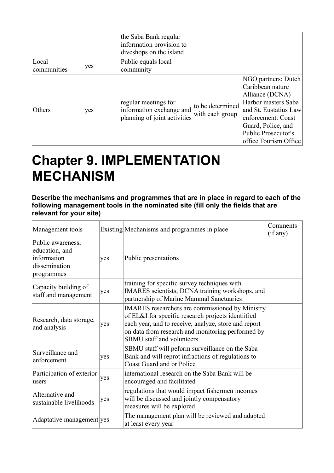|                      |     | the Saba Bank regular<br>information provision to<br>diveshops on the island     |                                     |                                                                                                                                                                                                        |
|----------------------|-----|----------------------------------------------------------------------------------|-------------------------------------|--------------------------------------------------------------------------------------------------------------------------------------------------------------------------------------------------------|
| Local<br>communities | yes | Public equals local<br>community                                                 |                                     |                                                                                                                                                                                                        |
| <b>Others</b>        | yes | regular meetings for<br>information exchange and<br>planning of joint activities | to be determined<br>with each group | NGO partners: Dutch<br>Caribbean nature<br>Alliance (DCNA)<br>Harbor masters Saba<br>and St. Eustatius Law<br>enforcement: Coast<br>Guard, Police, and<br>Public Prosecutor's<br>office Tourism Office |

## **Chapter 9. IMPLEMENTATION MECHANISM**

#### **Describe the mechanisms and programmes that are in place in regard to each of the following management tools in the nominated site (fill only the fields that are relevant for your site)**

| Management tools                                                                  |     | Existing Mechanisms and programmes in place                                                                                                                                                                                                                   | Comments<br>(if any) |
|-----------------------------------------------------------------------------------|-----|---------------------------------------------------------------------------------------------------------------------------------------------------------------------------------------------------------------------------------------------------------------|----------------------|
| Public awareness,<br>education, and<br>information<br>dissemination<br>programmes | yes | Public presentations                                                                                                                                                                                                                                          |                      |
| Capacity building of<br>staff and management                                      | yes | training for specific survey techniques with<br>IMARES scientists, DCNA training workshops, and<br>partnership of Marine Mammal Sanctuaries                                                                                                                   |                      |
| Research, data storage,<br>and analysis                                           | yes | <b>IMARES</b> researchers are commissioned by Ministry<br>of EL&I for specific research projects identiified<br>each year, and to receive, analyze, store and report<br>on data from research and monitoring performed by<br><b>SBMU</b> staff and volunteers |                      |
| Surveillance and<br>enforcement                                                   | yes | SBMU staff will peform surveillance on the Saba<br>Bank and will reprot infractions of regulations to<br><b>Coast Guard and or Police</b>                                                                                                                     |                      |
| Participation of exterior<br>lusers                                               | yes | international research on the Saba Bank will be<br>encouraged and facilitated                                                                                                                                                                                 |                      |
| Alternative and<br>sustainable livelihoods                                        | yes | regulations that would impact fishermen incomes<br>will be discussed and jointly compensatory<br>measures will be explored                                                                                                                                    |                      |
| Adaptative management yes                                                         |     | The management plan will be reviewed and adapted<br>at least every year                                                                                                                                                                                       |                      |